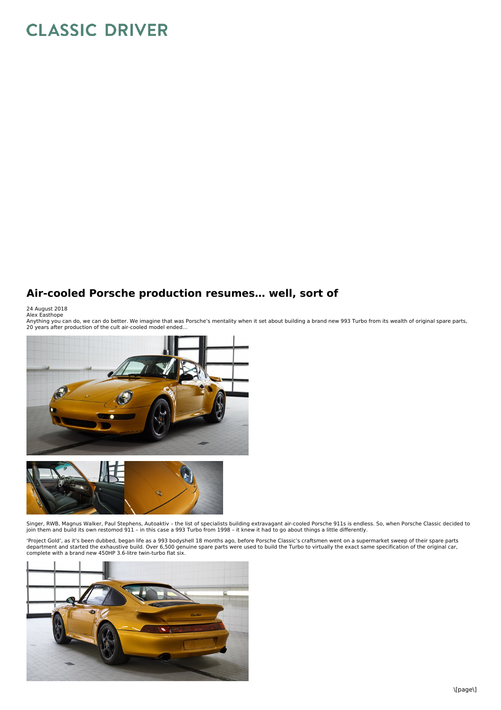## **CLASSIC DRIVER**

## **Air-cooled Porsche production resumes… well, sort of**

24 August 2018<br>Alex Easthope<br>Anything you can do, we can do better. We imagine that was Porsche's mentality when it set about building a brand new 993 Turbo from its wealth of original spare parts,<br>Anything you



Singer, RWB, Magnus Walker, Paul Stephens, Autoaktiv – the list of specialists building extravagant air-cooled Porsche 911s is endless. So, when Porsche Classic decided to join them and build its own restomod 911 – in this case a 993 Turbo from 1998 – it knew it had to go about things a little differently.

'Project Gold', as it's been dubbed, began life as a 993 bodyshell 18 months ago, before Porsche Classic's craftsmen went on a supermarket sweep of their spare parts<br>department and started the exhaustive build. Over 6,500 complete with a brand new 450HP 3.6-litre twin-turbo flat six.